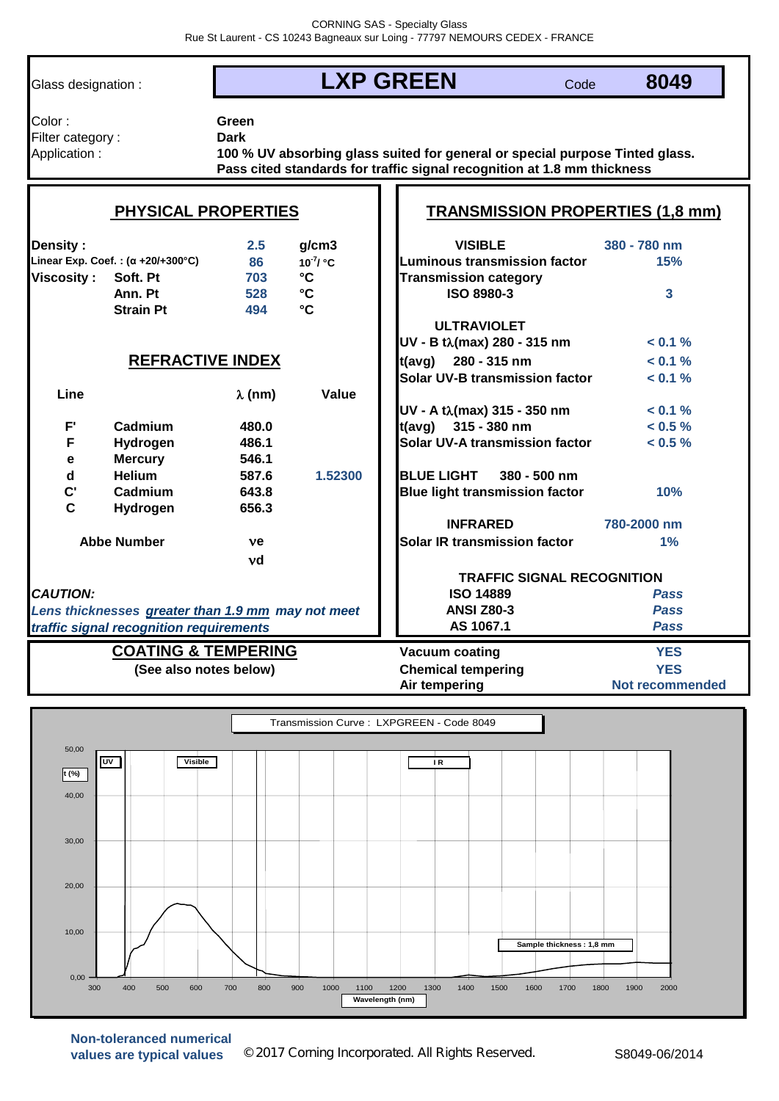| Glass designation :                                                                          |                                                  | <b>LXP GREEN</b>     |                                   |                                                                                                                                                         | Code         | 8049                       |  |
|----------------------------------------------------------------------------------------------|--------------------------------------------------|----------------------|-----------------------------------|---------------------------------------------------------------------------------------------------------------------------------------------------------|--------------|----------------------------|--|
| Color:<br>Filter category:<br>Application:                                                   |                                                  | Green<br><b>Dark</b> |                                   | 100 % UV absorbing glass suited for general or special purpose Tinted glass.<br>Pass cited standards for traffic signal recognition at 1.8 mm thickness |              |                            |  |
|                                                                                              | <b>PHYSICAL PROPERTIES</b>                       |                      |                                   | <b>TRANSMISSION PROPERTIES (1,8 mm)</b>                                                                                                                 |              |                            |  |
| Density:                                                                                     | Linear Exp. Coef.: $(\alpha + 20/4300^{\circ}C)$ | 2.5<br>86            | q/cm3<br>$10^{-7}$ / $^{\circ}$ C | <b>VISIBLE</b><br><b>Luminous transmission factor</b>                                                                                                   |              | 380 - 780 nm<br>15%        |  |
| Viscosity :                                                                                  | Soft. Pt<br>Ann. Pt                              | 703<br>528           | $\mathbf{C}$<br>$\mathbf{C}$      | <b>Transmission category</b><br><b>ISO 8980-3</b>                                                                                                       |              | 3                          |  |
|                                                                                              | <b>Strain Pt</b>                                 | 494                  | $\mathbf{C}$                      |                                                                                                                                                         |              |                            |  |
|                                                                                              |                                                  |                      |                                   | <b>ULTRAVIOLET</b><br>UV - B tλ(max) 280 - 315 nm                                                                                                       |              | < 0.1 %                    |  |
|                                                                                              | <b>REFRACTIVE INDEX</b>                          |                      |                                   | t(avg)<br>280 - 315 nm<br><b>Solar UV-B transmission factor</b>                                                                                         |              | $< 0.1 \%$<br>$< 0.1 \%$   |  |
| Line                                                                                         |                                                  | $\lambda$ (nm)       | Value                             |                                                                                                                                                         |              |                            |  |
| F'                                                                                           | Cadmium                                          | 480.0                |                                   | UV - A tλ(max) 315 - 350 nm<br>315 - 380 nm<br>t(avg)                                                                                                   |              | < 0.1 %<br>$< 0.5 \%$      |  |
| F                                                                                            | Hydrogen                                         | 486.1                |                                   | Solar UV-A transmission factor                                                                                                                          |              | $< 0.5 \%$                 |  |
|                                                                                              | <b>Mercury</b>                                   | 546.1                |                                   |                                                                                                                                                         |              |                            |  |
| $\mathbf e$<br>$\mathbf d$                                                                   | <b>Helium</b>                                    | 587.6                | 1.52300                           | <b>BLUE LIGHT</b>                                                                                                                                       | 380 - 500 nm |                            |  |
| $\mathbf{C}$                                                                                 | Cadmium                                          | 643.8                |                                   | <b>Blue light transmission factor</b>                                                                                                                   |              | 10%                        |  |
| $\mathbf c$                                                                                  | Hydrogen                                         | 656.3                |                                   |                                                                                                                                                         |              |                            |  |
|                                                                                              |                                                  |                      |                                   | <b>INFRARED</b>                                                                                                                                         |              | 780-2000 nm                |  |
|                                                                                              | <b>Abbe Number</b>                               | ve                   |                                   | Solar IR transmission factor                                                                                                                            |              | 1%                         |  |
|                                                                                              |                                                  | νd                   |                                   |                                                                                                                                                         |              |                            |  |
|                                                                                              |                                                  |                      |                                   |                                                                                                                                                         |              |                            |  |
| <b>CAUTION:</b>                                                                              |                                                  |                      | <b>ISO 14889</b>                  | <b>TRAFFIC SIGNAL RECOGNITION</b>                                                                                                                       |              |                            |  |
|                                                                                              |                                                  |                      |                                   | <b>ANSI Z80-3</b>                                                                                                                                       |              | <b>Pass</b><br><b>Pass</b> |  |
| Lens thicknesses greater than 1.9 mm may not meet<br>traffic signal recognition requirements |                                                  |                      |                                   | AS 1067.1                                                                                                                                               |              | <b>Pass</b>                |  |
|                                                                                              | <b>COATING &amp; TEMPERING</b>                   |                      |                                   | Vacuum coating                                                                                                                                          |              | <b>YES</b>                 |  |
|                                                                                              | (See also notes below)                           |                      |                                   | <b>Chemical tempering</b>                                                                                                                               |              | <b>YES</b>                 |  |